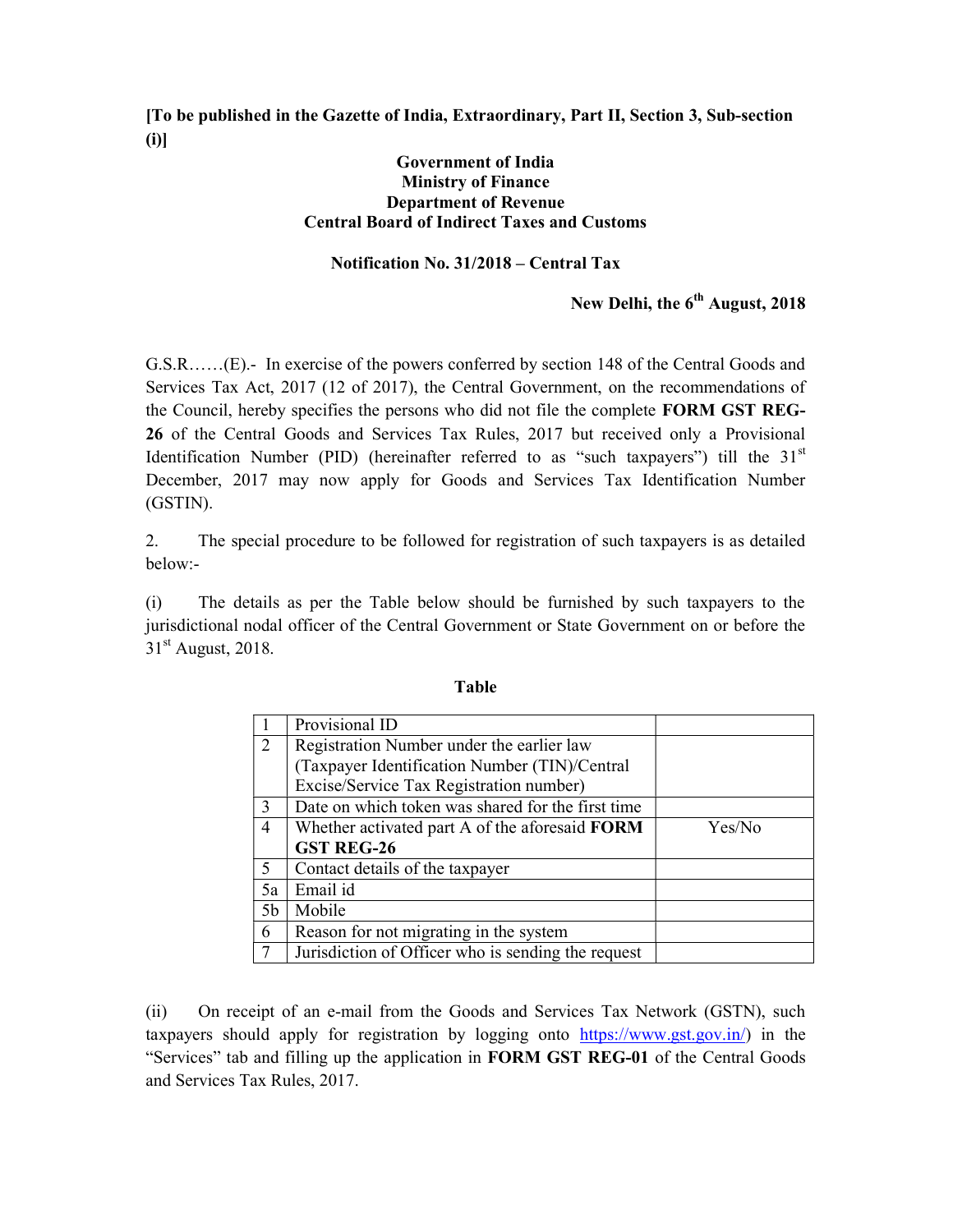[To be published in the Gazette of India, Extraordinary, Part II, Section 3, Sub-section (i)]

## Government of India Ministry of Finance Department of Revenue Central Board of Indirect Taxes and Customs

## Notification No. 31/2018 – Central Tax

## New Delhi, the  $6<sup>th</sup>$  August, 2018

G.S.R……(E).- In exercise of the powers conferred by section 148 of the Central Goods and Services Tax Act, 2017 (12 of 2017), the Central Government, on the recommendations of the Council, hereby specifies the persons who did not file the complete FORM GST REG-26 of the Central Goods and Services Tax Rules, 2017 but received only a Provisional Identification Number (PID) (hereinafter referred to as "such taxpayers") till the  $31<sup>st</sup>$ December, 2017 may now apply for Goods and Services Tax Identification Number (GSTIN).

2. The special procedure to be followed for registration of such taxpayers is as detailed below:-

(i) The details as per the Table below should be furnished by such taxpayers to the jurisdictional nodal officer of the Central Government or State Government on or before the  $31<sup>st</sup>$  August, 2018.

|                | Provisional ID                                        |        |
|----------------|-------------------------------------------------------|--------|
| $\mathcal{L}$  | Registration Number under the earlier law             |        |
|                | (Taxpayer Identification Number (TIN)/Central         |        |
|                | Excise/Service Tax Registration number)               |        |
| $\mathbf{3}$   | Date on which token was shared for the first time     |        |
| $\overline{4}$ | Whether activated part A of the aforesaid <b>FORM</b> | Yes/No |
|                | <b>GST REG-26</b>                                     |        |
| $\varsigma$    | Contact details of the taxpayer                       |        |
| 5a             | Email id                                              |        |
| 5 <sub>b</sub> | Mobile                                                |        |
| 6              | Reason for not migrating in the system                |        |
|                | Jurisdiction of Officer who is sending the request    |        |

## Table

(ii) On receipt of an e-mail from the Goods and Services Tax Network (GSTN), such taxpayers should apply for registration by logging onto https://www.gst.gov.in/) in the "Services" tab and filling up the application in FORM GST REG-01 of the Central Goods and Services Tax Rules, 2017.